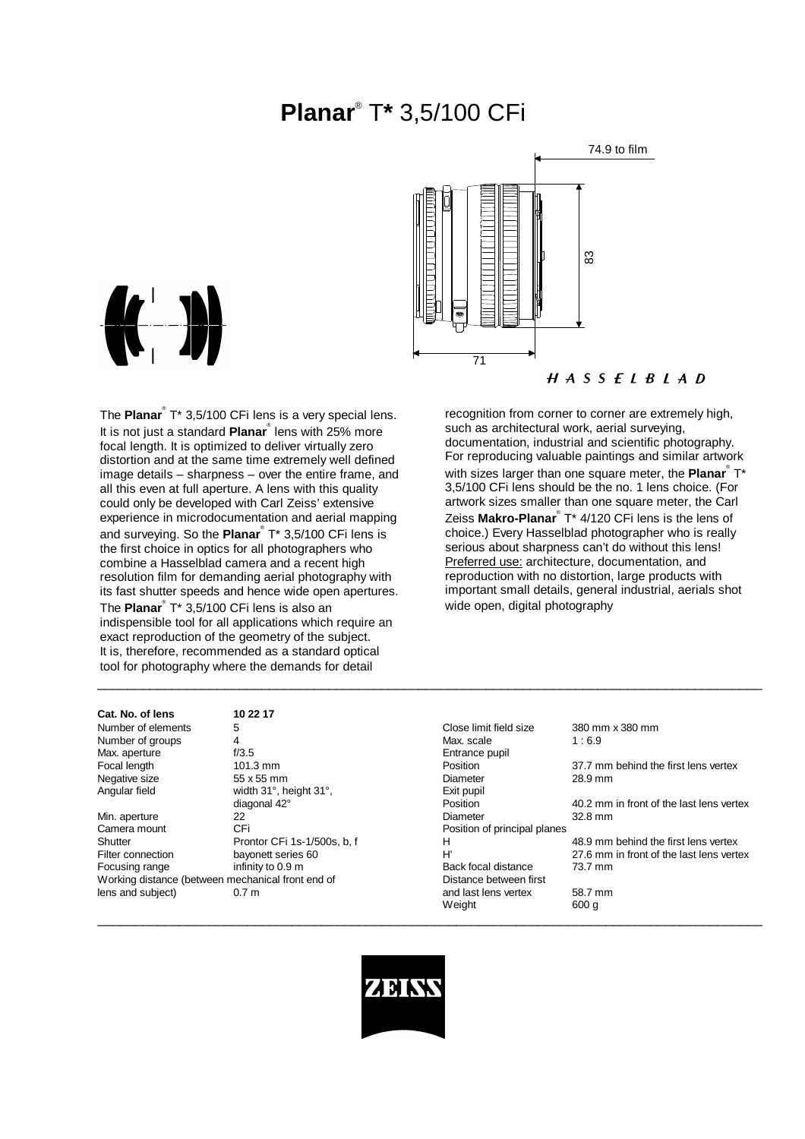# **Planar**® T**\*** 3,5/100 CFi





The **Planar**® T\* 3,5/100 CFi lens is a very special lens. It is not just a standard **Planar**® lens with 25% more focal length. It is optimized to deliver virtually zero distortion and at the same time extremely well defined image details – sharpness – over the entire frame, and all this even at full aperture. A lens with this quality could only be developed with Carl Zeiss' extensive experience in microdocumentation and aerial mapping and surveying. So the **Planar**® T\* 3,5/100 CFi lens is the first choice in optics for all photographers who combine a Hasselblad camera and a recent high resolution film for demanding aerial photography with its fast shutter speeds and hence wide open apertures. The **Planar**® T\* 3,5/100 CFi lens is also an indispensible tool for all applications which require an exact reproduction of the geometry of the subject. It is, therefore, recommended as a standard optical tool for photography where the demands for detail

recognition from corner to corner are extremely high, such as architectural work, aerial surveying, documentation, industrial and scientific photography. For reproducing valuable paintings and similar artwork with sizes larger than one square meter, the **Planar**® T\* 3,5/100 CFi lens should be the no. 1 lens choice. (For artwork sizes smaller than one square meter, the Carl Zeiss **Makro-Planar**® T\* 4/120 CFi lens is the lens of choice.) Every Hasselblad photographer who is really serious about sharpness can't do without this lens! Preferred use: architecture, documentation, and reproduction with no distortion, large products with important small details, general industrial, aerials shot wide open, digital photography

#### **Cat. No. of lens 10 22 17**

| Number of elements                                | 5                           | Close limit field size       | 380 mm x 380 mm                          |
|---------------------------------------------------|-----------------------------|------------------------------|------------------------------------------|
| Number of groups                                  | 4                           | Max. scale                   | 1:6.9                                    |
| Max. aperture                                     | f/3.5                       | Entrance pupil               |                                          |
| Focal length                                      | $101.3$ mm                  | <b>Position</b>              | 37.7 mm behind the first lens vertex     |
| Negative size                                     | 55 x 55 mm                  | Diameter                     | 28.9 mm                                  |
| Angular field                                     | width 31°, height 31°,      | Exit pupil                   |                                          |
|                                                   | diagonal 42°                | Position                     | 40.2 mm in front of the last lens vertex |
| Min. aperture                                     | 22                          | Diameter                     | 32.8 mm                                  |
| Camera mount                                      | CFi                         | Position of principal planes |                                          |
| Shutter                                           | Prontor CFi 1s-1/500s, b, f | н                            | 48.9 mm behind the first lens vertex     |
| Filter connection                                 | bayonett series 60          | H'                           | 27.6 mm in front of the last lens vertex |
| Focusing range                                    | infinity to 0.9 m           | Back focal distance          | 73.7 mm                                  |
| Working distance (between mechanical front end of |                             | Distance between first       |                                          |
| lens and subject)                                 | 0.7 <sub>m</sub>            | and last lens vertex         | 58.7 mm                                  |
|                                                   |                             | Weight                       | 600 g                                    |
|                                                   |                             |                              |                                          |



\_\_\_\_\_\_\_\_\_\_\_\_\_\_\_\_\_\_\_\_\_\_\_\_\_\_\_\_\_\_\_\_\_\_\_\_\_\_\_\_\_\_\_\_\_\_\_\_\_\_\_\_\_\_\_\_\_\_\_\_\_\_\_\_\_\_\_\_\_\_\_\_\_\_\_\_\_\_\_\_\_\_\_\_\_\_\_\_\_